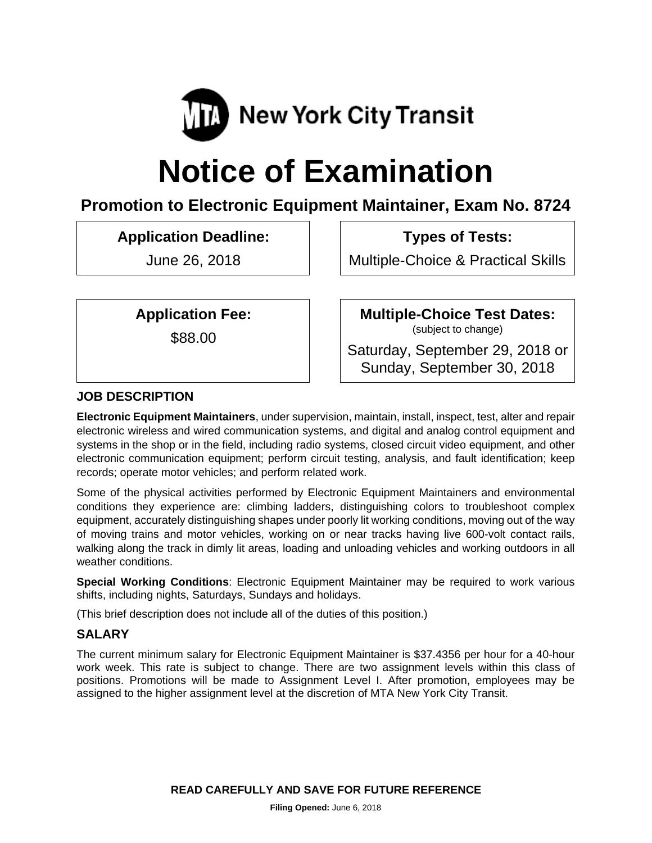

# **Notice of Examination**

# **Promotion to Electronic Equipment Maintainer, Exam No. 8724**

**Application Deadline:** 

June 26, 2018

 **Types of Tests:** 

Multiple-Choice & Practical Skills

**Application Fee:** 

\$88.00

 **Multiple-Choice Test Dates:** (subject to change)

Saturday, September 29, 2018 or Sunday, September 30, 2018

# **JOB DESCRIPTION**

**Electronic Equipment Maintainers**, under supervision, maintain, install, inspect, test, alter and repair electronic wireless and wired communication systems, and digital and analog control equipment and systems in the shop or in the field, including radio systems, closed circuit video equipment, and other electronic communication equipment; perform circuit testing, analysis, and fault identification; keep records; operate motor vehicles; and perform related work.

Some of the physical activities performed by Electronic Equipment Maintainers and environmental conditions they experience are: climbing ladders, distinguishing colors to troubleshoot complex equipment, accurately distinguishing shapes under poorly lit working conditions, moving out of the way of moving trains and motor vehicles, working on or near tracks having live 600-volt contact rails, walking along the track in dimly lit areas, loading and unloading vehicles and working outdoors in all weather conditions.

**Special Working Conditions**: Electronic Equipment Maintainer may be required to work various shifts, including nights, Saturdays, Sundays and holidays.

(This brief description does not include all of the duties of this position.)

# **SALARY**

The current minimum salary for Electronic Equipment Maintainer is \$37.4356 per hour for a 40-hour work week. This rate is subject to change. There are two assignment levels within this class of positions. Promotions will be made to Assignment Level I. After promotion, employees may be assigned to the higher assignment level at the discretion of MTA New York City Transit.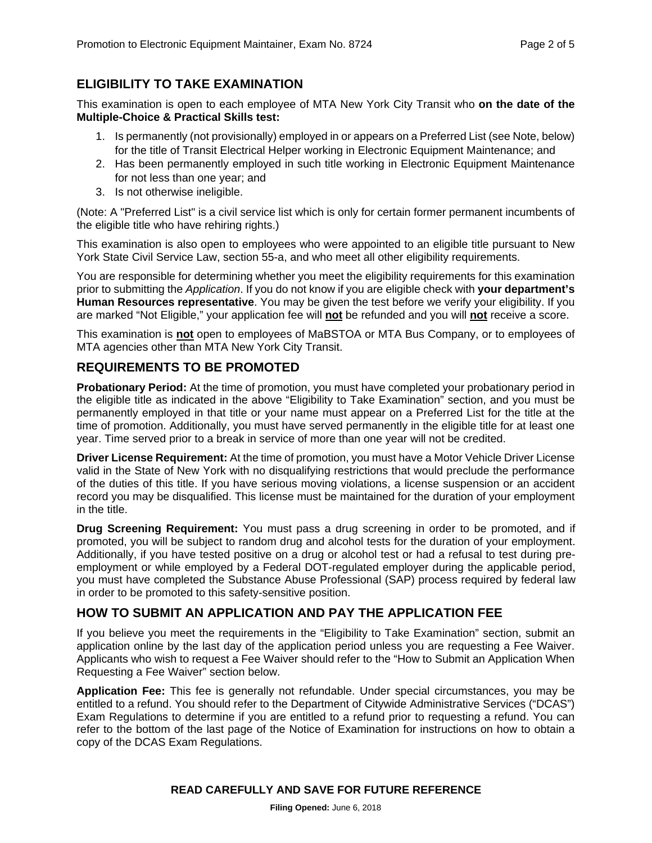## **ELIGIBILITY TO TAKE EXAMINATION**

This examination is open to each employee of MTA New York City Transit who **on the date of the Multiple-Choice & Practical Skills test:** 

- 1. Is permanently (not provisionally) employed in or appears on a Preferred List (see Note, below) for the title of Transit Electrical Helper working in Electronic Equipment Maintenance; and
- 2. Has been permanently employed in such title working in Electronic Equipment Maintenance for not less than one year; and
- 3. Is not otherwise ineligible.

(Note: A "Preferred List" is a civil service list which is only for certain former permanent incumbents of the eligible title who have rehiring rights.)

This examination is also open to employees who were appointed to an eligible title pursuant to New York State Civil Service Law, section 55-a, and who meet all other eligibility requirements.

You are responsible for determining whether you meet the eligibility requirements for this examination prior to submitting the *Application*. If you do not know if you are eligible check with **your department's Human Resources representative**. You may be given the test before we verify your eligibility. If you are marked "Not Eligible," your application fee will **not** be refunded and you will **not** receive a score.

This examination is **not** open to employees of MaBSTOA or MTA Bus Company, or to employees of MTA agencies other than MTA New York City Transit.

#### **REQUIREMENTS TO BE PROMOTED**

**Probationary Period:** At the time of promotion, you must have completed your probationary period in the eligible title as indicated in the above "Eligibility to Take Examination" section, and you must be permanently employed in that title or your name must appear on a Preferred List for the title at the time of promotion. Additionally, you must have served permanently in the eligible title for at least one year. Time served prior to a break in service of more than one year will not be credited.

**Driver License Requirement:** At the time of promotion, you must have a Motor Vehicle Driver License valid in the State of New York with no disqualifying restrictions that would preclude the performance of the duties of this title. If you have serious moving violations, a license suspension or an accident record you may be disqualified. This license must be maintained for the duration of your employment in the title.

**Drug Screening Requirement:** You must pass a drug screening in order to be promoted, and if promoted, you will be subject to random drug and alcohol tests for the duration of your employment. Additionally, if you have tested positive on a drug or alcohol test or had a refusal to test during preemployment or while employed by a Federal DOT-regulated employer during the applicable period, you must have completed the Substance Abuse Professional (SAP) process required by federal law in order to be promoted to this safety-sensitive position.

#### **HOW TO SUBMIT AN APPLICATION AND PAY THE APPLICATION FEE**

If you believe you meet the requirements in the "Eligibility to Take Examination" section, submit an application online by the last day of the application period unless you are requesting a Fee Waiver. Applicants who wish to request a Fee Waiver should refer to the "How to Submit an Application When Requesting a Fee Waiver" section below.

**Application Fee:** This fee is generally not refundable. Under special circumstances, you may be entitled to a refund. You should refer to the Department of Citywide Administrative Services ("DCAS") Exam Regulations to determine if you are entitled to a refund prior to requesting a refund. You can refer to the bottom of the last page of the Notice of Examination for instructions on how to obtain a copy of the DCAS Exam Regulations.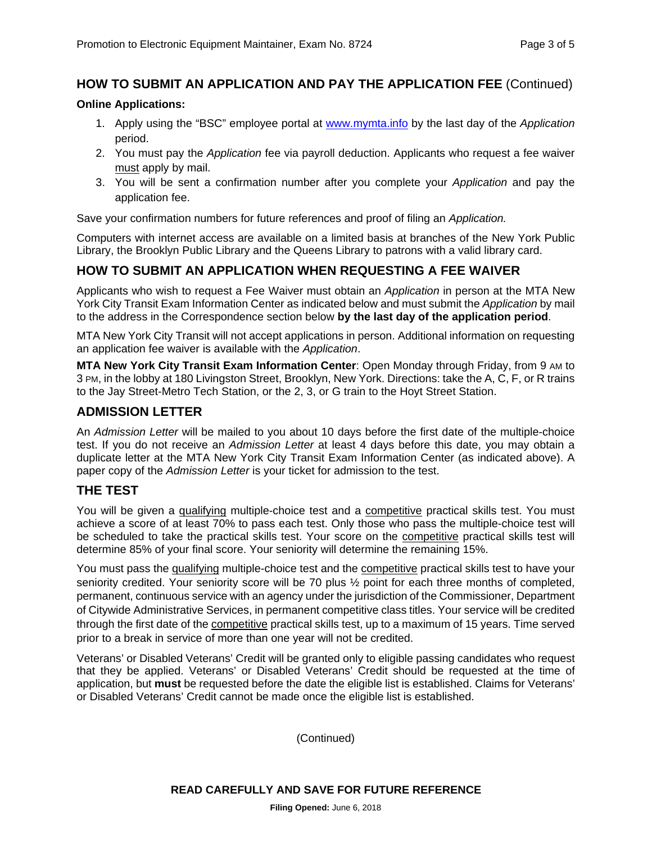### **HOW TO SUBMIT AN APPLICATION AND PAY THE APPLICATION FEE** (Continued)

#### **Online Applications:**

- 1. Apply using the "BSC" employee portal at www.mymta.info by the last day of the *Application*  period.
- 2. You must pay the *Application* fee via payroll deduction. Applicants who request a fee waiver must apply by mail.
- 3. You will be sent a confirmation number after you complete your *Application* and pay the application fee.

Save your confirmation numbers for future references and proof of filing an *Application.*

Computers with internet access are available on a limited basis at branches of the New York Public Library, the Brooklyn Public Library and the Queens Library to patrons with a valid library card.

#### **HOW TO SUBMIT AN APPLICATION WHEN REQUESTING A FEE WAIVER**

Applicants who wish to request a Fee Waiver must obtain an *Application* in person at the MTA New York City Transit Exam Information Center as indicated below and must submit the *Application* by mail to the address in the Correspondence section below **by the last day of the application period**.

MTA New York City Transit will not accept applications in person. Additional information on requesting an application fee waiver is available with the *Application*.

**MTA New York City Transit Exam Information Center**: Open Monday through Friday, from 9 AM to 3 PM, in the lobby at 180 Livingston Street, Brooklyn, New York. Directions: take the A, C, F, or R trains to the Jay Street-Metro Tech Station, or the 2, 3, or G train to the Hoyt Street Station.

#### **ADMISSION LETTER**

An *Admission Letter* will be mailed to you about 10 days before the first date of the multiple-choice test. If you do not receive an *Admission Letter* at least 4 days before this date, you may obtain a duplicate letter at the MTA New York City Transit Exam Information Center (as indicated above). A paper copy of the *Admission Letter* is your ticket for admission to the test.

#### **THE TEST**

You will be given a qualifying multiple-choice test and a competitive practical skills test. You must achieve a score of at least 70% to pass each test. Only those who pass the multiple-choice test will be scheduled to take the practical skills test. Your score on the competitive practical skills test will determine 85% of your final score. Your seniority will determine the remaining 15%.

You must pass the qualifying multiple-choice test and the competitive practical skills test to have your seniority credited. Your seniority score will be 70 plus ½ point for each three months of completed, permanent, continuous service with an agency under the jurisdiction of the Commissioner, Department of Citywide Administrative Services, in permanent competitive class titles. Your service will be credited through the first date of the **competitive** practical skills test, up to a maximum of 15 years. Time served prior to a break in service of more than one year will not be credited.

Veterans' or Disabled Veterans' Credit will be granted only to eligible passing candidates who request that they be applied. Veterans' or Disabled Veterans' Credit should be requested at the time of application, but **must** be requested before the date the eligible list is established. Claims for Veterans' or Disabled Veterans' Credit cannot be made once the eligible list is established.

(Continued)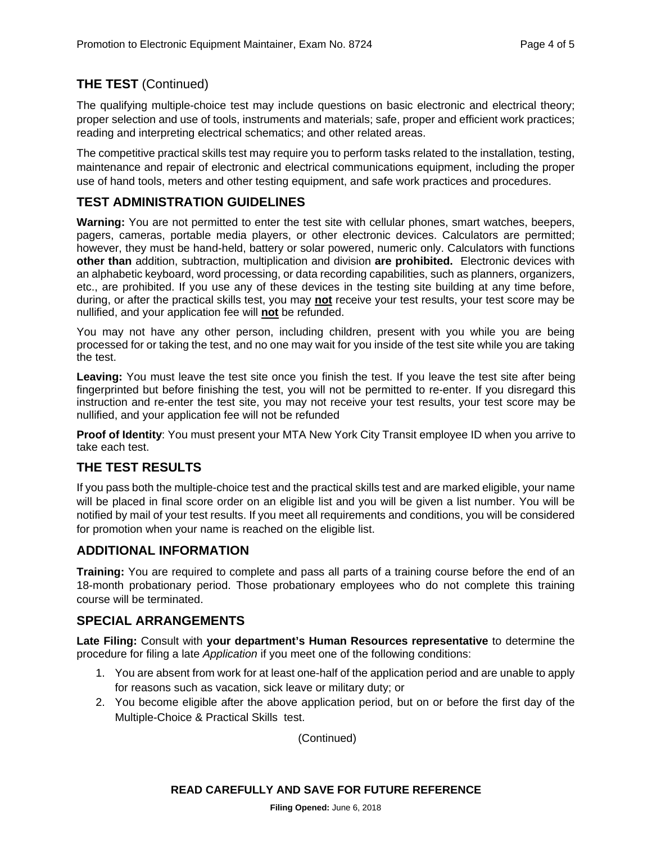# **THE TEST** (Continued)

The qualifying multiple-choice test may include questions on basic electronic and electrical theory; proper selection and use of tools, instruments and materials; safe, proper and efficient work practices; reading and interpreting electrical schematics; and other related areas.

The competitive practical skills test may require you to perform tasks related to the installation, testing, maintenance and repair of electronic and electrical communications equipment, including the proper use of hand tools, meters and other testing equipment, and safe work practices and procedures.

# **TEST ADMINISTRATION GUIDELINES**

**Warning:** You are not permitted to enter the test site with cellular phones, smart watches, beepers, pagers, cameras, portable media players, or other electronic devices. Calculators are permitted; however, they must be hand-held, battery or solar powered, numeric only. Calculators with functions **other than** addition, subtraction, multiplication and division **are prohibited.** Electronic devices with an alphabetic keyboard, word processing, or data recording capabilities, such as planners, organizers, etc., are prohibited. If you use any of these devices in the testing site building at any time before, during, or after the practical skills test, you may **not** receive your test results, your test score may be nullified, and your application fee will **not** be refunded.

You may not have any other person, including children, present with you while you are being processed for or taking the test, and no one may wait for you inside of the test site while you are taking the test.

**Leaving:** You must leave the test site once you finish the test. If you leave the test site after being fingerprinted but before finishing the test, you will not be permitted to re-enter. If you disregard this instruction and re-enter the test site, you may not receive your test results, your test score may be nullified, and your application fee will not be refunded

**Proof of Identity**: You must present your MTA New York City Transit employee ID when you arrive to take each test.

# **THE TEST RESULTS**

If you pass both the multiple-choice test and the practical skills test and are marked eligible, your name will be placed in final score order on an eligible list and you will be given a list number. You will be notified by mail of your test results. If you meet all requirements and conditions, you will be considered for promotion when your name is reached on the eligible list.

#### **ADDITIONAL INFORMATION**

**Training:** You are required to complete and pass all parts of a training course before the end of an 18-month probationary period. Those probationary employees who do not complete this training course will be terminated.

#### **SPECIAL ARRANGEMENTS**

**Late Filing:** Consult with **your department's Human Resources representative** to determine the procedure for filing a late *Application* if you meet one of the following conditions:

- 1. You are absent from work for at least one-half of the application period and are unable to apply for reasons such as vacation, sick leave or military duty; or
- 2. You become eligible after the above application period, but on or before the first day of the Multiple-Choice & Practical Skills test.

(Continued)